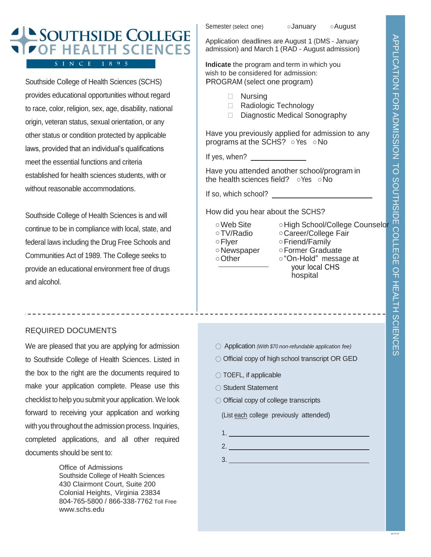## SOUTHSIDE COLLEGE **DF HEALTH SCIENCES** S I N C E 1 8 9 5

Southside College of Health Sciences (SCHS) provides educational opportunities without regard to race, color, religion, sex, age, disability, national origin, veteran status, sexual orientation, or any other status or condition protected by applicable laws, provided that an individual's qualifications meet the essential functions and criteria established for health sciences students, with or without reasonable accommodations.

Southside College of Health Sciences is and will continue to be in compliance with local, state, and federal laws including the Drug Free Schools and Communities Act of 1989. The College seeks to provide an educational environment free of drugs and alcohol.

### REQUIRED DOCUMENTS

We are pleased that you are applying for admission to Southside College of Health Sciences. Listed in the box to the right are the documents required to make your application complete. Please use this checklist to help you submit your application. We look forward to receiving your application and working with you throughout the admission process. Inquiries, completed applications, and all other required documents should be sent to:

> Office of Admissions Southside College of Health Sciences 430 Clairmont Court, Suite 200 Colonial Heights, Virginia 23834 804-765-5800 / 866-338-7762 Toll Free www.schs.edu

Semester (select one) **Obtainuary Obtained Semester** (select one)

Application deadlines are August 1 (DMS - January admission) and March 1 (RAD - August admission)

**Indicate** the program and term in which you wish to be considered for admission: PROGRAM (select one program)

- Nursing
- □ Radiologic Technology
- Diagnostic Medical Sonography

Have you previously applied for admission to any programs at the SCHS? ○Yes ○No

If yes, when?

Have you attended another school/program in the health sciences field? ○Yes ○No

If so, which school?

How did you hear about the SCHS?

○Web Site ○ High School/College Counselor ○TV/Radio ○Career/College Fair ○Flyer ○ Friend/Family ○Newspaper ○Former Graduate ○ Other ○ <sup>○</sup>On-Hold" message at your local CHS hospital

- Application *(With \$70 non-refundable application fee)*
- Official copy of high school transcript OR GED
- TOEFL, if applicable
- Student Statement
- Official copy of college transcripts

(List each college previously attended)

2.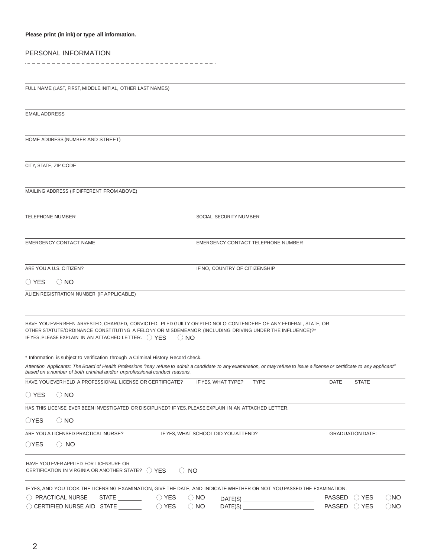#### **Please print (in ink) or type all information.**

#### PERSONAL INFORMATION

 $\sim$   $-$ 

|  | FULL NAME (LAST, FIRST, MIDDLE INITIAL, OTHER LAST NAMES) |  |
|--|-----------------------------------------------------------|--|
|--|-----------------------------------------------------------|--|

| <b>EMAIL ADDRESS</b>                                                                                                                                                                                                                                                                                                                                                                                                                                                                                                                                                                                                                      |
|-------------------------------------------------------------------------------------------------------------------------------------------------------------------------------------------------------------------------------------------------------------------------------------------------------------------------------------------------------------------------------------------------------------------------------------------------------------------------------------------------------------------------------------------------------------------------------------------------------------------------------------------|
| HOME ADDRESS (NUMBER AND STREET)                                                                                                                                                                                                                                                                                                                                                                                                                                                                                                                                                                                                          |
| CITY, STATE, ZIP CODE                                                                                                                                                                                                                                                                                                                                                                                                                                                                                                                                                                                                                     |
| MAILING ADDRESS (IF DIFFERENT FROM ABOVE)                                                                                                                                                                                                                                                                                                                                                                                                                                                                                                                                                                                                 |
|                                                                                                                                                                                                                                                                                                                                                                                                                                                                                                                                                                                                                                           |
| <b>TELEPHONE NUMBER</b><br>SOCIAL SECURITY NUMBER                                                                                                                                                                                                                                                                                                                                                                                                                                                                                                                                                                                         |
| <b>EMERGENCY CONTACT NAME</b><br>EMERGENCY CONTACT TELEPHONE NUMBER                                                                                                                                                                                                                                                                                                                                                                                                                                                                                                                                                                       |
| ARE YOU A U.S. CITIZEN?<br>IF NO, COUNTRY OF CITIZENSHIP                                                                                                                                                                                                                                                                                                                                                                                                                                                                                                                                                                                  |
| $\bigcirc$ YES<br>$\bigcirc$ NO                                                                                                                                                                                                                                                                                                                                                                                                                                                                                                                                                                                                           |
| ALIEN REGISTRATION NUMBER (IF APPLICABLE)                                                                                                                                                                                                                                                                                                                                                                                                                                                                                                                                                                                                 |
|                                                                                                                                                                                                                                                                                                                                                                                                                                                                                                                                                                                                                                           |
| HAVE YOU EVER BEEN ARRESTED, CHARGED, CONVICTED, PLED GUILTY OR PLED NOLO CONTENDERE OF ANY FEDERAL, STATE, OR<br>OTHER STATUTE/ORDINANCE CONSTITUTING A FELONY OR MISDEMEANOR (INCLUDING DRIVING UNDER THE INFLUENCE)?*<br>IF YES, PLEASE EXPLAIN IN AN ATTACHED LETTER. ( ) YES<br>$\odot$ NO                                                                                                                                                                                                                                                                                                                                           |
| * Information is subject to verification through a Criminal History Record check.                                                                                                                                                                                                                                                                                                                                                                                                                                                                                                                                                         |
| Attention Applicants: The Board of Health Professions "may refuse to admit a candidate to any examination, or may refuse to issue a license or certificate to any applicant"<br>based on a number of both criminal and/or unprofessional conduct reasons.                                                                                                                                                                                                                                                                                                                                                                                 |
| HAVE YOU EVER HELD A PROFESSIONAL LICENSE OR CERTIFICATE?<br>IF YES, WHAT TYPE?<br><b>TYPE</b><br>DATE<br><b>STATE</b>                                                                                                                                                                                                                                                                                                                                                                                                                                                                                                                    |
| ◯ YES<br>$()$ No                                                                                                                                                                                                                                                                                                                                                                                                                                                                                                                                                                                                                          |
| HAS THIS LICENSE EVER BEEN INVESTIGATED OR DISCIPLINED? IF YES, PLEASE EXPLAIN IN AN ATTACHED LETTER.                                                                                                                                                                                                                                                                                                                                                                                                                                                                                                                                     |
| $\bigcirc$ YES $\bigcirc$ NO                                                                                                                                                                                                                                                                                                                                                                                                                                                                                                                                                                                                              |
| ARE YOU A LICENSED PRACTICAL NURSE?<br>IF YES, WHAT SCHOOL DID YOU ATTEND?<br><b>GRADUATION DATE:</b>                                                                                                                                                                                                                                                                                                                                                                                                                                                                                                                                     |
| $\bigcirc$ YES<br>$\bigcirc$ NO                                                                                                                                                                                                                                                                                                                                                                                                                                                                                                                                                                                                           |
| HAVE YOU EVER APPLIED FOR LICENSURE OR<br>CERTIFICATION IN VIRGINIA OR ANOTHER STATE? () YES<br>$\bigcirc$ NO                                                                                                                                                                                                                                                                                                                                                                                                                                                                                                                             |
| IF YES, AND YOU TOOK THE LICENSING EXAMINATION, GIVE THE DATE, AND INDICATE WHETHER OR NOT YOU PASSED THE EXAMINATION.<br>$\bigcirc$ NO<br>$\bigcirc$ PRACTICAL NURSE<br>$\bigcirc$ NO<br>PASSED () YES<br>$\begin{picture}(150,10) \put(0,0){\vector(1,0){100}} \put(15,0){\vector(1,0){100}} \put(15,0){\vector(1,0){100}} \put(15,0){\vector(1,0){100}} \put(15,0){\vector(1,0){100}} \put(15,0){\vector(1,0){100}} \put(15,0){\vector(1,0){100}} \put(15,0){\vector(1,0){100}} \put(15,0){\vector(1,0){100}} \put(15,0){\vector(1,0){100}} \put(15,0){\vector(1,0){100}}$<br>PASSED OYES<br>$\bigcirc$ NO<br>$\bigcirc$ NO<br>DATE(S) |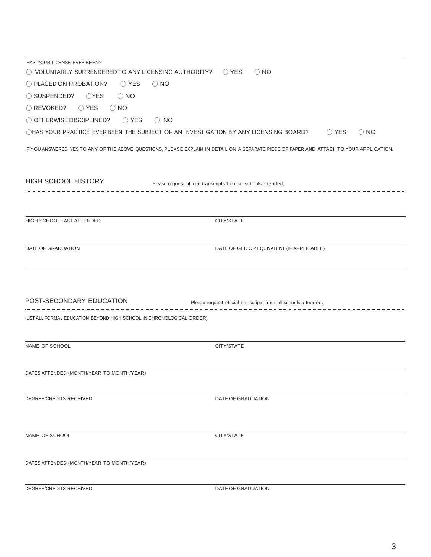| HAS YOUR LICENSE EVER BEEN?                                                                                                              |                                                                |
|------------------------------------------------------------------------------------------------------------------------------------------|----------------------------------------------------------------|
| $\bigcirc$ VOLUNTARILY SURRENDERED TO ANY LICENSING AUTHORITY?                                                                           | $\bigcirc$ YES<br>$\bigcirc$ NO                                |
| O PLACED ON PROBATION?<br>$\bigcirc$ YES<br>$\bigcirc$ NO                                                                                |                                                                |
| $\bigcirc$ SUSPENDED? $\bigcirc$ YES<br>$\bigcirc$ NO                                                                                    |                                                                |
| ◯ YES<br>$\bigcirc$ REVOKED?<br>$\bigcirc$ NO                                                                                            |                                                                |
| $\bigcirc$ OTHERWISE DISCIPLINED?<br>$\bigcirc$ YES<br>$\bigcirc$ NO                                                                     |                                                                |
| ○HAS YOUR PRACTICE EVER BEEN THE SUBJECT OF AN INVESTIGATION BY ANY LICENSING BOARD?                                                     | $\bigcirc$ YES<br>$\bigcirc$ NO                                |
| IF YOU ANSWERED YES TO ANY OF THE ABOVE QUESTIONS, PLEASE EXPLAIN IN DETAIL ON A SEPARATE PIECE OF PAPER AND ATTACH TO YOUR APPLICATION. |                                                                |
| HIGH SCHOOL HISTORY<br>Please request official transcripts from all schools attended.                                                    |                                                                |
|                                                                                                                                          |                                                                |
| HIGH SCHOOL LAST ATTENDED                                                                                                                | CITY/STATE                                                     |
| DATE OF GRADUATION                                                                                                                       | DATE OF GED OR EQUIVALENT (IF APPLICABLE)                      |
| POST-SECONDARY EDUCATION<br>(LIST ALL FORMAL EDUCATION BEYOND HIGH SCHOOL IN CHRONOLOGICAL ORDER)                                        | Please request official transcripts from all schools attended. |
|                                                                                                                                          |                                                                |
| NAME OF SCHOOL                                                                                                                           | CITY/STATE                                                     |
| DATES ATTENDED (MONTH/YEAR TO MONTH/YEAR)                                                                                                |                                                                |
| DEGREE/CREDITS RECEIVED:                                                                                                                 | DATE OF GRADUATION                                             |
| NAME OF SCHOOL                                                                                                                           | CITY/STATE                                                     |
| DATES ATTENDED (MONTH/YEAR TO MONTH/YEAR)                                                                                                |                                                                |
|                                                                                                                                          |                                                                |
| DEGREE/CREDITS RECEIVED:                                                                                                                 | DATE OF GRADUATION                                             |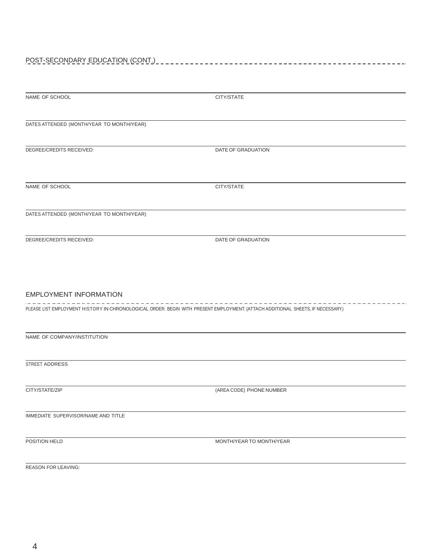# POST-SECONDARY EDUCATION (CONT.)

| NAME OF SCHOOL                                                                                                                  | CITY/STATE               |  |  |  |
|---------------------------------------------------------------------------------------------------------------------------------|--------------------------|--|--|--|
|                                                                                                                                 |                          |  |  |  |
| DATES ATTENDED (MONTH/YEAR TO MONTH/YEAR)                                                                                       |                          |  |  |  |
|                                                                                                                                 |                          |  |  |  |
| DEGREE/CREDITS RECEIVED:                                                                                                        | DATE OF GRADUATION       |  |  |  |
|                                                                                                                                 |                          |  |  |  |
|                                                                                                                                 |                          |  |  |  |
| NAME OF SCHOOL                                                                                                                  | CITY/STATE               |  |  |  |
|                                                                                                                                 |                          |  |  |  |
| DATES ATTENDED (MONTH/YEAR TO MONTH/YEAR)                                                                                       |                          |  |  |  |
| DEGREE/CREDITS RECEIVED:                                                                                                        | DATE OF GRADUATION       |  |  |  |
|                                                                                                                                 |                          |  |  |  |
|                                                                                                                                 |                          |  |  |  |
|                                                                                                                                 |                          |  |  |  |
| <b>EMPLOYMENT INFORMATION</b>                                                                                                   |                          |  |  |  |
|                                                                                                                                 |                          |  |  |  |
| PLEASE LIST EMPLOYMENT HISTORY IN CHRONOLOGICAL ORDER. BEGIN WITH PRESENT EMPLOYMENT. (ATTACH ADDITIONAL SHEETS, IF NECESSARY.) |                          |  |  |  |
|                                                                                                                                 |                          |  |  |  |
| NAME OF COMPANY/INSTITUTION                                                                                                     |                          |  |  |  |
|                                                                                                                                 |                          |  |  |  |
| <b>STREET ADDRESS</b>                                                                                                           |                          |  |  |  |
|                                                                                                                                 |                          |  |  |  |
| CITY/STATE/ZIP                                                                                                                  | (AREA CODE) PHONE NUMBER |  |  |  |
|                                                                                                                                 |                          |  |  |  |

IMMEDIATE SUPERVISOR/NAME AND TITLE

POSITION HELD MONTH/YEAR TO MONTH/YEAR

REASON FOR LEAVING: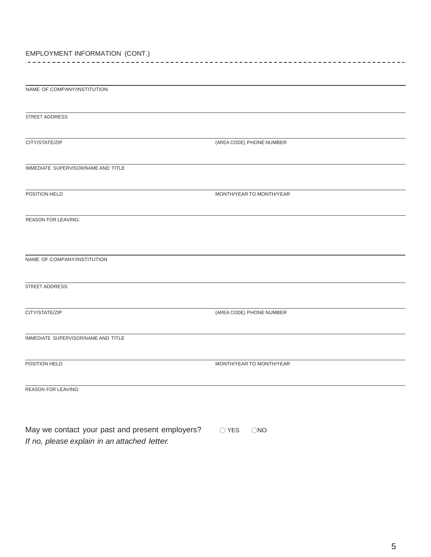#### EMPLOYMENT INFORMATION (CONT.) .composed a contract a consequence of the contract of the contract of the contract of the contract of the cont

| NAME OF COMPANY/INSTITUTION         |                          |
|-------------------------------------|--------------------------|
|                                     |                          |
|                                     |                          |
| STREET ADDRESS                      |                          |
|                                     |                          |
| CITY/STATE/ZIP                      | (AREA CODE) PHONE NUMBER |
|                                     |                          |
|                                     |                          |
| IMMEDIATE SUPERVISOR/NAME AND TITLE |                          |
|                                     |                          |
| POSITION HELD                       | MONTH/YEAR TO MONTH/YEAR |
|                                     |                          |
|                                     |                          |
| <b>REASON FOR LEAVING:</b>          |                          |
|                                     |                          |
|                                     |                          |
|                                     |                          |
| NAME OF COMPANY/INSTITUTION         |                          |
|                                     |                          |
| STREET ADDRESS                      |                          |
|                                     |                          |
|                                     |                          |
| CITY/STATE/ZIP                      | (AREA CODE) PHONE NUMBER |
|                                     |                          |
| IMMEDIATE SUPERVISOR/NAME AND TITLE |                          |
|                                     |                          |
|                                     |                          |
| POSITION HELD                       | MONTH/YEAR TO MONTH/YEAR |
|                                     |                          |
|                                     |                          |
| <b>REASON FOR LEAVING:</b>          |                          |
|                                     |                          |
|                                     |                          |

May we contact your past and present employers? <br>  $\bigcirc$  YES  $\bigcirc$  NO *If no, please explain in an attached letter.*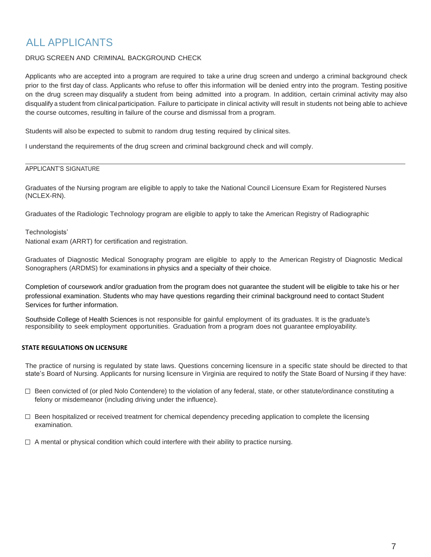### ALL APPLICANTS

### DRUG SCREEN AND CRIMINAL BACKGROUND CHECK

Applicants who are accepted into a program are required to take a urine drug screen and undergo a criminal background check prior to the first day of class. Applicants who refuse to offer this information will be denied entry into the program. Testing positive on the drug screen may disqualify a student from being admitted into a program. In addition, certain criminal activity may also disqualify a student from clinical participation. Failure to participate in clinical activity will result in students not being able to achieve the course outcomes, resulting in failure of the course and dismissal from a program.

Students will also be expected to submit to random drug testing required by clinical sites.

I understand the requirements of the drug screen and criminal background check and will comply.

#### APPLICANT'S SIGNATURE

Graduates of the Nursing program are eligible to apply to take the National Council Licensure Exam for Registered Nurses (NCLEX-RN).

Graduates of the Radiologic Technology program are eligible to apply to take the American Registry of Radiographic

#### Technologists'

National exam (ARRT) for certification and registration.

Graduates of Diagnostic Medical Sonography program are eligible to apply to the American Registry of Diagnostic Medical Sonographers (ARDMS) for examinations in physics and a specialty of their choice.

Completion of coursework and/or graduation from the program does not guarantee the student will be eligible to take his or her professional examination. Students who may have questions regarding their criminal background need to contact Student Services for further information.

Southside College of Health Sciences is not responsible for gainful employment of its graduates. It is the graduate's responsibility to seek employment opportunities. Graduation from a program does not guarantee employability.

#### **STATE REGULATIONS ON LICENSURE**

The practice of nursing is regulated by state laws. Questions concerning licensure in a specific state should be directed to that state's Board of Nursing. Applicants for nursing licensure in Virginia are required to notify the State Board of Nursing if they have:

- $\Box$  Been convicted of (or pled Nolo Contendere) to the violation of any federal, state, or other statute/ordinance constituting a felony or misdemeanor (including driving under the influence).
- $\Box$  Been hospitalized or received treatment for chemical dependency preceding application to complete the licensing examination.
- $\Box$  A mental or physical condition which could interfere with their ability to practice nursing.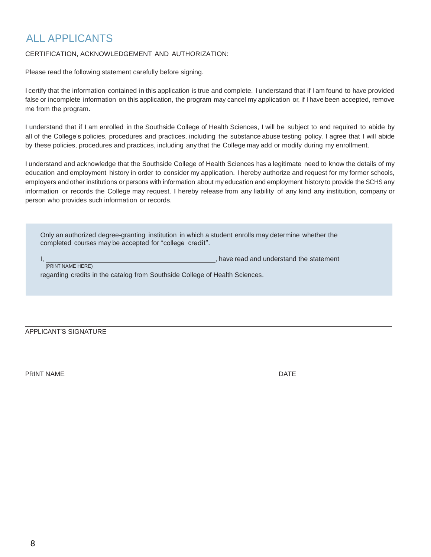## ALL APPLICANTS

### CERTIFICATION, ACKNOWLEDGEMENT AND AUTHORIZATION:

Please read the following statement carefully before signing.

I certify that the information contained in this application is true and complete. I understand that if I am found to have provided false or incomplete information on this application, the program may cancel my application or, if I have been accepted, remove me from the program.

I understand that if I am enrolled in the Southside College of Health Sciences, I will be subject to and required to abide by all of the College's policies, procedures and practices, including the substance abuse testing policy. I agree that I will abide by these policies, procedures and practices, including any that the College may add or modify during my enrollment.

I understand and acknowledge that the Southside College of Health Sciences has a legitimate need to know the details of my education and employment history in order to consider my application. I hereby authorize and request for my former schools, employers and other institutions or persons with information about my education and employment history to provide the SCHS any information or records the College may request. I hereby release from any liability of any kind any institution, company or person who provides such information or records.

Only an authorized degree-granting institution in which a student enrolls may determine whether the completed courses may be accepted for "college credit".

state read and understand the statement I, PRINT NAME HERE)

regarding credits in the catalog from Southside College of Health Sciences.

APPLICANT'S SIGNATURE

PRINT NAME DATE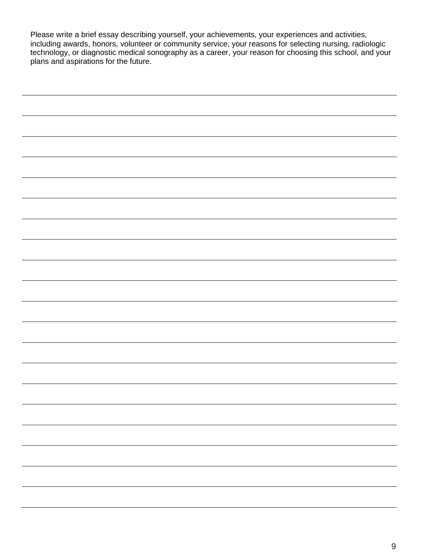Please write a brief essay describing yourself, your achievements, your experiences and activities, including awards, honors, volunteer or community service, your reasons for selecting nursing, radiologic technology, or diagnostic medical sonography as a career, your reason for choosing this school, and your plans and aspirations for the future.